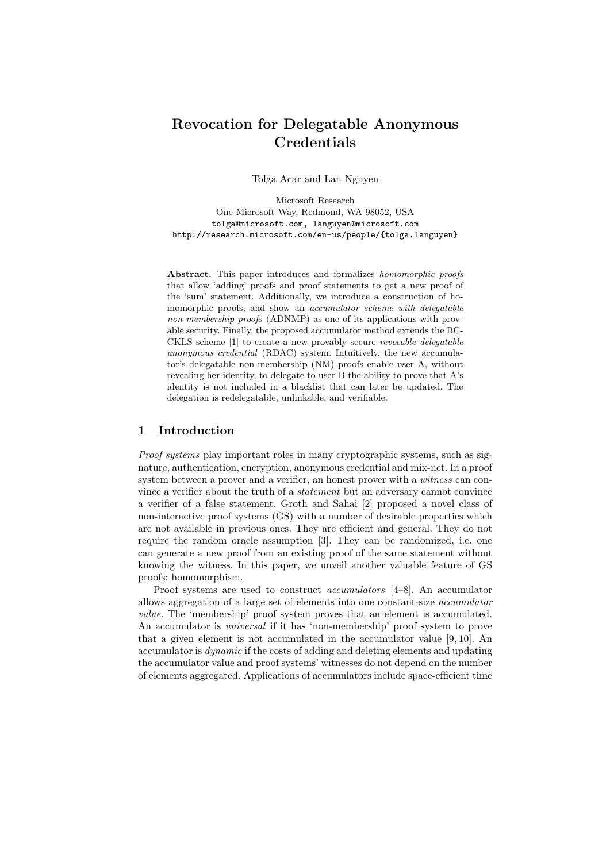# Revocation for Delegatable Anonymous Credentials

Tolga Acar and Lan Nguyen

Microsoft Research One Microsoft Way, Redmond, WA 98052, USA tolga@microsoft.com, languyen@microsoft.com http://research.microsoft.com/en-us/people/{tolga,languyen}

Abstract. This paper introduces and formalizes homomorphic proofs that allow 'adding' proofs and proof statements to get a new proof of the 'sum' statement. Additionally, we introduce a construction of homomorphic proofs, and show an accumulator scheme with delegatable non-membership proofs (ADNMP) as one of its applications with provable security. Finally, the proposed accumulator method extends the BC-CKLS scheme [1] to create a new provably secure revocable delegatable anonymous credential (RDAC) system. Intuitively, the new accumulator's delegatable non-membership (NM) proofs enable user A, without revealing her identity, to delegate to user B the ability to prove that A's identity is not included in a blacklist that can later be updated. The delegation is redelegatable, unlinkable, and verifiable.

## 1 Introduction

Proof systems play important roles in many cryptographic systems, such as signature, authentication, encryption, anonymous credential and mix-net. In a proof system between a prover and a verifier, an honest prover with a *witness* can convince a verifier about the truth of a statement but an adversary cannot convince a verifier of a false statement. Groth and Sahai [2] proposed a novel class of non-interactive proof systems (GS) with a number of desirable properties which are not available in previous ones. They are efficient and general. They do not require the random oracle assumption [3]. They can be randomized, i.e. one can generate a new proof from an existing proof of the same statement without knowing the witness. In this paper, we unveil another valuable feature of GS proofs: homomorphism.

Proof systems are used to construct accumulators [4–8]. An accumulator allows aggregation of a large set of elements into one constant-size accumulator value. The 'membership' proof system proves that an element is accumulated. An accumulator is universal if it has 'non-membership' proof system to prove that a given element is not accumulated in the accumulator value [9, 10]. An accumulator is dynamic if the costs of adding and deleting elements and updating the accumulator value and proof systems' witnesses do not depend on the number of elements aggregated. Applications of accumulators include space-efficient time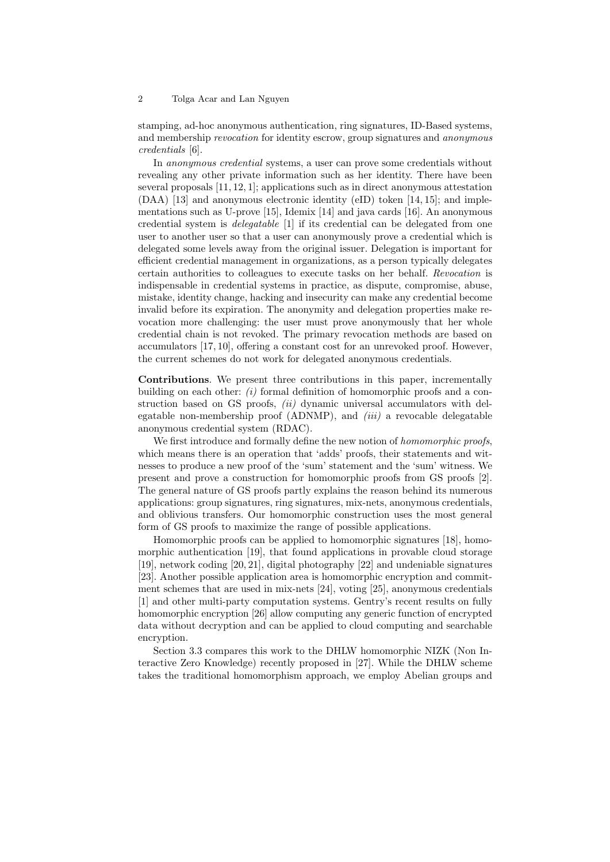stamping, ad-hoc anonymous authentication, ring signatures, ID-Based systems, and membership *revocation* for identity escrow, group signatures and *anonymous* credentials [6].

In anonymous credential systems, a user can prove some credentials without revealing any other private information such as her identity. There have been several proposals [11, 12, 1]; applications such as in direct anonymous attestation (DAA) [13] and anonymous electronic identity (eID) token [14, 15]; and implementations such as U-prove [15], Idemix [14] and java cards [16]. An anonymous credential system is delegatable [1] if its credential can be delegated from one user to another user so that a user can anonymously prove a credential which is delegated some levels away from the original issuer. Delegation is important for efficient credential management in organizations, as a person typically delegates certain authorities to colleagues to execute tasks on her behalf. Revocation is indispensable in credential systems in practice, as dispute, compromise, abuse, mistake, identity change, hacking and insecurity can make any credential become invalid before its expiration. The anonymity and delegation properties make revocation more challenging: the user must prove anonymously that her whole credential chain is not revoked. The primary revocation methods are based on accumulators [17, 10], offering a constant cost for an unrevoked proof. However, the current schemes do not work for delegated anonymous credentials.

Contributions. We present three contributions in this paper, incrementally building on each other:  $(i)$  formal definition of homomorphic proofs and a construction based on GS proofs,  $(ii)$  dynamic universal accumulators with delegatable non-membership proof (ADNMP), and  $(iii)$  a revocable delegatable anonymous credential system (RDAC).

We first introduce and formally define the new notion of homomorphic proofs, which means there is an operation that 'adds' proofs, their statements and witnesses to produce a new proof of the 'sum' statement and the 'sum' witness. We present and prove a construction for homomorphic proofs from GS proofs [2]. The general nature of GS proofs partly explains the reason behind its numerous applications: group signatures, ring signatures, mix-nets, anonymous credentials, and oblivious transfers. Our homomorphic construction uses the most general form of GS proofs to maximize the range of possible applications.

Homomorphic proofs can be applied to homomorphic signatures [18], homomorphic authentication [19], that found applications in provable cloud storage [19], network coding [20, 21], digital photography [22] and undeniable signatures [23]. Another possible application area is homomorphic encryption and commitment schemes that are used in mix-nets [24], voting [25], anonymous credentials [1] and other multi-party computation systems. Gentry's recent results on fully homomorphic encryption [26] allow computing any generic function of encrypted data without decryption and can be applied to cloud computing and searchable encryption.

Section 3.3 compares this work to the DHLW homomorphic NIZK (Non Interactive Zero Knowledge) recently proposed in [27]. While the DHLW scheme takes the traditional homomorphism approach, we employ Abelian groups and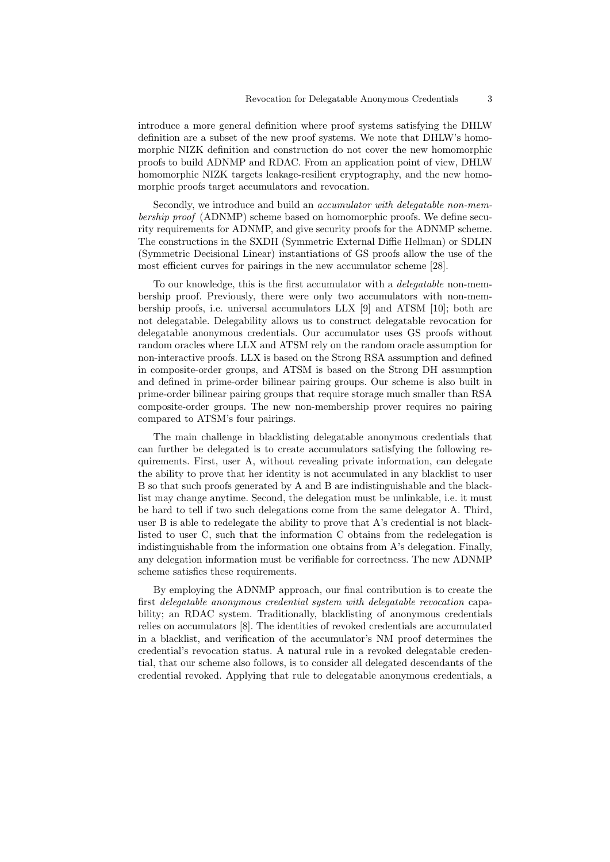introduce a more general definition where proof systems satisfying the DHLW definition are a subset of the new proof systems. We note that DHLW's homomorphic NIZK definition and construction do not cover the new homomorphic proofs to build ADNMP and RDAC. From an application point of view, DHLW homomorphic NIZK targets leakage-resilient cryptography, and the new homomorphic proofs target accumulators and revocation.

Secondly, we introduce and build an accumulator with delegatable non-membership proof (ADNMP) scheme based on homomorphic proofs. We define security requirements for ADNMP, and give security proofs for the ADNMP scheme. The constructions in the SXDH (Symmetric External Diffie Hellman) or SDLIN (Symmetric Decisional Linear) instantiations of GS proofs allow the use of the most efficient curves for pairings in the new accumulator scheme [28].

To our knowledge, this is the first accumulator with a delegatable non-membership proof. Previously, there were only two accumulators with non-membership proofs, i.e. universal accumulators LLX [9] and ATSM [10]; both are not delegatable. Delegability allows us to construct delegatable revocation for delegatable anonymous credentials. Our accumulator uses GS proofs without random oracles where LLX and ATSM rely on the random oracle assumption for non-interactive proofs. LLX is based on the Strong RSA assumption and defined in composite-order groups, and ATSM is based on the Strong DH assumption and defined in prime-order bilinear pairing groups. Our scheme is also built in prime-order bilinear pairing groups that require storage much smaller than RSA composite-order groups. The new non-membership prover requires no pairing compared to ATSM's four pairings.

The main challenge in blacklisting delegatable anonymous credentials that can further be delegated is to create accumulators satisfying the following requirements. First, user A, without revealing private information, can delegate the ability to prove that her identity is not accumulated in any blacklist to user B so that such proofs generated by A and B are indistinguishable and the blacklist may change anytime. Second, the delegation must be unlinkable, i.e. it must be hard to tell if two such delegations come from the same delegator A. Third, user B is able to redelegate the ability to prove that A's credential is not blacklisted to user C, such that the information C obtains from the redelegation is indistinguishable from the information one obtains from A's delegation. Finally, any delegation information must be verifiable for correctness. The new ADNMP scheme satisfies these requirements.

By employing the ADNMP approach, our final contribution is to create the first delegatable anonymous credential system with delegatable revocation capability; an RDAC system. Traditionally, blacklisting of anonymous credentials relies on accumulators [8]. The identities of revoked credentials are accumulated in a blacklist, and verification of the accumulator's NM proof determines the credential's revocation status. A natural rule in a revoked delegatable credential, that our scheme also follows, is to consider all delegated descendants of the credential revoked. Applying that rule to delegatable anonymous credentials, a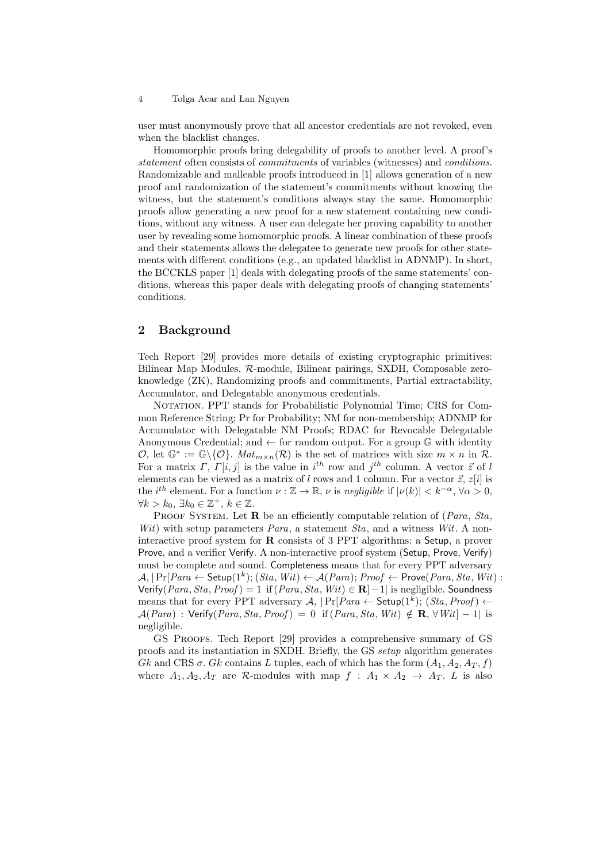user must anonymously prove that all ancestor credentials are not revoked, even when the blacklist changes.

Homomorphic proofs bring delegability of proofs to another level. A proof's statement often consists of commitments of variables (witnesses) and conditions. Randomizable and malleable proofs introduced in [1] allows generation of a new proof and randomization of the statement's commitments without knowing the witness, but the statement's conditions always stay the same. Homomorphic proofs allow generating a new proof for a new statement containing new conditions, without any witness. A user can delegate her proving capability to another user by revealing some homomorphic proofs. A linear combination of these proofs and their statements allows the delegatee to generate new proofs for other statements with different conditions (e.g., an updated blacklist in ADNMP). In short, the BCCKLS paper [1] deals with delegating proofs of the same statements' conditions, whereas this paper deals with delegating proofs of changing statements' conditions.

# 2 Background

Tech Report [29] provides more details of existing cryptographic primitives: Bilinear Map Modules, R-module, Bilinear pairings, SXDH, Composable zeroknowledge (ZK), Randomizing proofs and commitments, Partial extractability, Accumulator, and Delegatable anonymous credentials.

NOTATION. PPT stands for Probabilistic Polynomial Time; CRS for Common Reference String; Pr for Probability; NM for non-membership; ADNMP for Accumulator with Delegatable NM Proofs; RDAC for Revocable Delegatable Anonymous Credential; and  $\leftarrow$  for random output. For a group  $\mathbb{G}$  with identity O, let  $\mathbb{G}^* := \mathbb{G} \setminus \{ \mathcal{O} \}.$  Ma $t_{m \times n}(\mathcal{R})$  is the set of matrices with size  $m \times n$  in  $\mathcal{R}$ . For a matrix  $\Gamma$ ,  $\Gamma[i, j]$  is the value in  $i^{th}$  row and  $j^{th}$  column. A vector  $\vec{z}$  of l elements can be viewed as a matrix of l rows and 1 column. For a vector  $\vec{z}$ ,  $z[i]$  is the i<sup>th</sup> element. For a function  $\nu : \mathbb{Z} \to \mathbb{R}$ ,  $\nu$  is negligible if  $|\nu(k)| < k^{-\alpha}$ ,  $\forall \alpha > 0$ ,  $\forall k > k_0, \exists k_0 \in \mathbb{Z}^+, k \in \mathbb{Z}.$ 

PROOF SYSTEM. Let **R** be an efficiently computable relation of  $(Para, Sta,$ Wit) with setup parameters  $Para$ , a statement  $Sta$ , and a witness Wit. A noninteractive proof system for R consists of 3 PPT algorithms: a Setup, a prover Prove, and a verifier Verify. A non-interactive proof system (Setup, Prove, Verify) must be complete and sound. Completeness means that for every PPT adversary  $\mathcal{A}, |\Pr[Para \leftarrow \mathsf{Setup}(1^k); (Sta, Wit) \leftarrow \mathcal{A}(Para); Proof \leftarrow \mathsf{Prove}(Para, Sta, Wit)$ : Verify( $Para, Sta, Proof$ ) = 1 if ( $Para, Sta, Wit$ ) ∈ R|-1| is negligible. Soundness means that for every PPT adversary  $\mathcal{A}$ ,  $|\Pr[Para \leftarrow \mathsf{Setup}(1^k); (Sta, Proof) \leftarrow$  $A(Para)$  : Verify(Para, Sta, Proof) = 0 if (Para, Sta, Wit)  $\notin \mathbb{R}$ ,  $\forall$  Wit $|-1|$  is negligible.

GS Proofs. Tech Report [29] provides a comprehensive summary of GS proofs and its instantiation in SXDH. Briefly, the GS setup algorithm generates Gk and CRS  $\sigma$ . Gk contains L tuples, each of which has the form  $(A_1, A_2, A_T, f)$ where  $A_1, A_2, A_T$  are R-modules with map  $f : A_1 \times A_2 \to A_T$ . L is also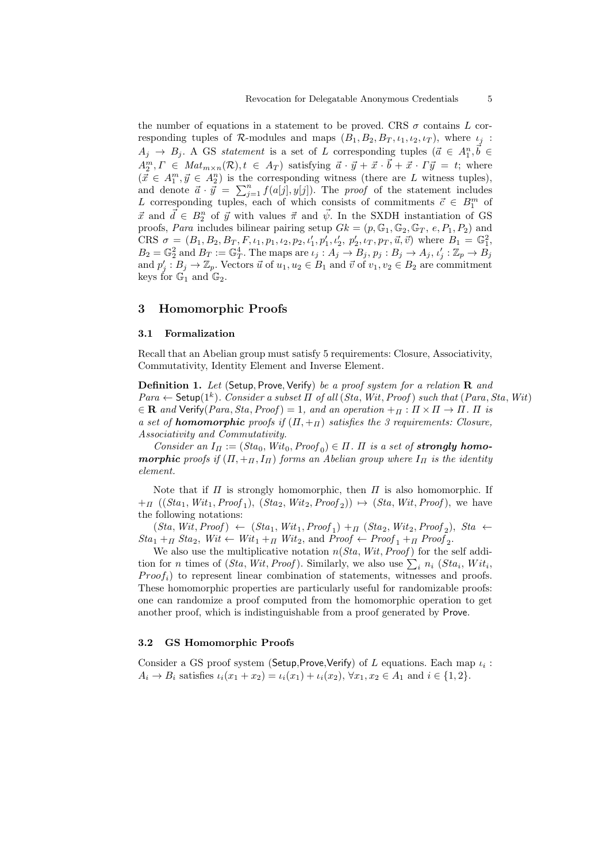the number of equations in a statement to be proved. CRS  $\sigma$  contains L corresponding tuples of  $\mathcal{R}\text{-modules}$  and maps  $(B_1, B_2, B_T, \iota_1, \iota_2, \iota_T)$ , where  $\iota_j$ :  $A_j \rightarrow B_j$ . A GS statement is a set of L corresponding tuples  $(\vec{a} \in A_1^n, \vec{b} \in A_2^n)$  $A_2^m, \Gamma \in Mat_{m \times n}(\mathcal{R}), t \in A_T$  satisfying  $\vec{a} \cdot \vec{y} + \vec{x} \cdot \vec{b} + \vec{x} \cdot \Gamma \vec{y} = t$ ; where  $(\vec{x} \in A_1^m, \vec{y} \in A_2^n)$  is the corresponding witness (there are L witness tuples),  $(x \in A_1, y \in A_2)$  is the corresponding writess (there are *L* writess tuples),<br>and denote  $\vec{a} \cdot \vec{y} = \sum_{j=1}^n f(a[j], y[j])$ . The *proof* of the statement includes L corresponding tuples, each of which consists of commitments  $\vec{c} \in B_1^m$  of  $\vec{x}$  and  $\vec{d} \in B_2^n$  of  $\vec{y}$  with values  $\vec{\pi}$  and  $\vec{\psi}$ . In the SXDH instantiation of GS proofs, Para includes bilinear pairing setup  $Gk = (p, \mathbb{G}_1, \mathbb{G}_2, \mathbb{G}_T, e, P_1, P_2)$  and CRS  $\sigma = (B_1, B_2, B_T, F, \iota_1, p_1, \iota_2, p_2, \iota'_1, p'_1, \iota'_2, p'_2, \iota_T, p_T, \vec{u}, \vec{v})$  where  $B_1 = \mathbb{G}_1^2$ ,  $B_2 = \mathbb{G}_2^2$  and  $B_T := \mathbb{G}_T^4$ . The maps are  $\iota_j : A_j \to B_j$ ,  $p_j : B_j \to A_j$ ,  $\iota'_j : \mathbb{Z}_p \to B_j$ and  $p'_j : B_j \to \mathbb{Z}_p$ . Vectors  $\vec{u}$  of  $u_1, u_2 \in B_1$  and  $\vec{v}$  of  $v_1, v_2 \in B_2$  are commitment keys for  $\mathbb{G}_1$  and  $\mathbb{G}_2$ .

## 3 Homomorphic Proofs

#### 3.1 Formalization

Recall that an Abelian group must satisfy 5 requirements: Closure, Associativity, Commutativity, Identity Element and Inverse Element.

**Definition 1.** Let (Setup, Prove, Verify) be a proof system for a relation  $\bf{R}$  and  $Para \leftarrow$  Setup(1<sup>k</sup>). Consider a subset  $\Pi$  of all (Sta, Wit, Proof) such that (Para, Sta, Wit)  $\in \mathbf{R}$  and Verify(Para, Sta, Proof) = 1, and an operation  $+_{\Pi}: \Pi \times \Pi \to \Pi$ .  $\Pi$  is a set of **homomorphic** proofs if  $(\Pi, +\Pi)$  satisfies the 3 requirements: Closure, Associativity and Commutativity.

Consider an  $I_{\Pi} := (Sta_0, Wit_0, Proof_0) \in \Pi$ .  $\Pi$  is a set of **strongly homomorphic** proofs if  $(\Pi, +\Pi, I_{\Pi})$  forms an Abelian group where  $I_{\Pi}$  is the identity element.

Note that if  $\Pi$  is strongly homomorphic, then  $\Pi$  is also homomorphic. If  $+_{\Pi}$  ((Sta<sub>1</sub>, Wit<sub>1</sub>, Proof<sub>1</sub>), (Sta<sub>2</sub>, Wit<sub>2</sub>, Proof<sub>2</sub>))  $\mapsto$  (Sta, Wit, Proof), we have the following notations:

 $(Sta, Wit, Proof) \leftarrow (Sta_1, Wit_1, Proof_1) + \pi (Sta_2, Wit_2, Proof_2), Sta \leftarrow$  $Sta_1 + \eta Sta_2$ ,  $Wit \leftarrow Wit_1 + \eta Wit_2$ , and  $Proof \leftarrow Proof_1 + \eta Proof_2$ .

We also use the multiplicative notation  $n(Sta, Wit, Proof)$  for the self addition for *n* times of (*Sta*, *Wit*, *Proof*). Similarly, we also use  $\sum_i n_i$  (*Sta<sub>i</sub>*, *Wit<sub>i</sub>*,  $Proof_i$ ) to represent linear combination of statements, witnesses and proofs. These homomorphic properties are particularly useful for randomizable proofs: one can randomize a proof computed from the homomorphic operation to get another proof, which is indistinguishable from a proof generated by Prove.

## 3.2 GS Homomorphic Proofs

Consider a GS proof system (Setup, Prove, Verify) of  $L$  equations. Each map  $\iota_i$ :  $A_i \to B_i$  satisfies  $\iota_i(x_1 + x_2) = \iota_i(x_1) + \iota_i(x_2)$ ,  $\forall x_1, x_2 \in A_1$  and  $i \in \{1, 2\}$ .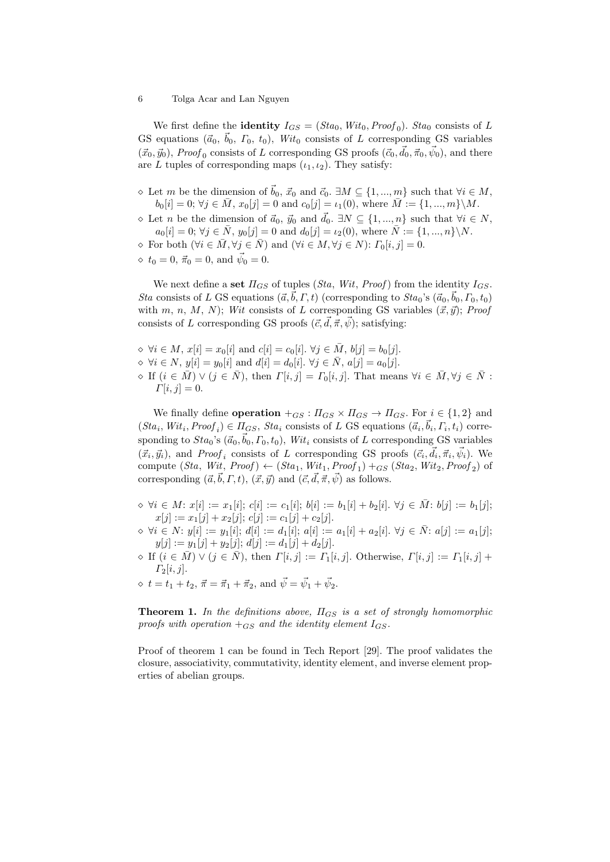We first define the **identity**  $I_{GS} = (Sta_0, Wit_0, Proof_0)$ .  $Sta_0$  consists of L GS equations  $(\vec{a}_0, \vec{b}_0, T_0, t_0)$ , Wit<sub>0</sub> consists of L corresponding GS variables  $({\vec{x}}_0, {\vec{y}}_0)$ , Proof<sub>0</sub> consists of L corresponding GS proofs  $({\vec{c}}_0, {\vec{d}}_0, {\vec{\pi}}_0, {\vec{\psi}}_0)$ , and there are L tuples of corresponding maps  $(\iota_1, \iota_2)$ . They satisfy:

- $\Diamond$  Let m be the dimension of  $\vec{b}_0, \vec{x}_0$  and  $\vec{c}_0$ .  $\exists M \subseteq \{1, ..., m\}$  such that  $\forall i \in M$ ,  $b_0[i] = 0; \forall j \in \bar{M}, x_0[j] = 0 \text{ and } c_0[j] = \iota_1(0), \text{ where } \bar{M} := \{1, ..., m\} \backslash M.$
- $\Diamond$  Let n be the dimension of  $\vec{a}_0, \vec{y}_0$  and  $\vec{d}_0$ .  $\exists N \subseteq \{1, ..., n\}$  such that  $\forall i \in N$ ,  $a_0[i] = 0; \forall j \in \bar{N}, y_0[j] = 0 \text{ and } d_0[j] = \iota_2(0), \text{ where } \bar{N} := \{1, ..., n\} \backslash N.$
- $\Diamond$  For both  $(\forall i \in \bar{M}, \forall j \in \bar{N})$  and  $(\forall i \in M, \forall j \in N)$ :  $\Gamma_0[i, j] = 0$ .
- $\phi t_0 = 0, \, \vec{\pi}_0 = 0, \, \text{and} \, \vec{\psi}_0 = 0.$

We next define a set  $\Pi_{GS}$  of tuples (Sta, Wit, Proof) from the identity  $I_{GS}$ . Sta consists of L GS equations  $(\vec{a}, \vec{b}, I, t)$  (corresponding to  $Sta_0$ 's  $(\vec{a}_0, \vec{b}_0, \Gamma_0, t_0)$ ) with m, n, M, N); Wit consists of L corresponding GS variables  $(\vec{x}, \vec{y})$ ; Proof consists of L corresponding GS proofs  $(\vec{c}, \vec{d}, \vec{\pi}, \vec{\psi})$ ; satisfying:

 $\Diamond \forall i \in M$ ,  $x[i] = x_0[i]$  and  $c[i] = c_0[i]$ .  $\forall j \in \overline{M}$ ,  $b[j] = b_0[j]$ .  $\Diamond \forall i \in N, y[i] = y_0[i] \text{ and } d[i] = d_0[i] \Box \forall j \in \overline{N}, a[j] = a_0[j].$  $\Diamond$  If  $(i \in \bar{M}) \lor (j \in \bar{N})$ , then  $\Gamma[i, j] = \Gamma_0[i, j]$ . That means  $\forall i \in \bar{M}, \forall j \in \bar{N}$ :  $\Gamma[i, j] = 0.$ 

We finally define **operation**  $+_{GS}$ :  $\Pi_{GS} \times \Pi_{GS} \rightarrow \Pi_{GS}$ . For  $i \in \{1,2\}$  and  $(Sta_i, Wit_i, Proof_i) \in \Pi_{GS}$ ,  $Sta_i$  consists of L GS equations  $(\vec{a}_i, \vec{b}_i, \Gamma_i, t_i)$  corresponding to  $Sta_0$ 's  $(\vec{a}_0, \vec{b}_0, \Gamma_0, t_0)$ ,  $Wit_i$  consists of L corresponding GS variables  $(\vec{x}_i, \vec{y}_i)$ , and Proof<sub>i</sub> consists of L corresponding GS proofs  $(\vec{c}_i, \vec{d}_i, \vec{\pi}_i, \vec{\psi}_i)$ . We compute  $(Sta, Wit, Proof) \leftarrow (Sta_1, Wit_1, Proof_1) +_{GS} (Sta_2, Wit_2, Proof_2)$  of corresponding  $(\vec{a}, \vec{b}, \vec{\theta}, T, t)$ ,  $(\vec{x}, \vec{y})$  and  $(\vec{c}, \vec{d}, \vec{\pi}, \vec{\psi})$  as follows.

 $\diamond \forall i \in M$ :  $x[i] := x_1[i]$ ;  $c[i] := c_1[i]$ ;  $b[i] := b_1[i] + b_2[i]$ .  $\forall j \in \overline{M}$ :  $b[j] := b_1[j]$ ;  $x[j] := x_1[j] + x_2[j];$   $c[j] := c_1[j] + c_2[j].$ 

 $\Diamond \forall i \in N: y[i] := y_1[i]; d[i] := d_1[i]; a[i] := a_1[i] + a_2[i]. \forall j \in \overline{N}: a[j] := a_1[j];$  $y[j] := y_1[j] + y_2[j]; d[j] := d_1[j] + d_2[j].$ 

- $\Diamond$  If  $(i \in \overline{M}) \lor (j \in \overline{N})$ , then  $\Gamma[i, j] := \Gamma_1[i, j]$ . Otherwise,  $\Gamma[i, j] := \Gamma_1[i, j] + \Box$  $\Gamma_2[i,j]$ .
- $\phi \, t = t_1 + t_2, \, \vec{\pi} = \vec{\pi}_1 + \vec{\pi}_2, \, \text{and} \, \vec{\psi} = \vec{\psi}_1 + \vec{\psi}_2.$

**Theorem 1.** In the definitions above,  $\Pi_{GS}$  is a set of strongly homomorphic proofs with operation  $+_{GS}$  and the identity element  $I_{GS}$ .

Proof of theorem 1 can be found in Tech Report [29]. The proof validates the closure, associativity, commutativity, identity element, and inverse element properties of abelian groups.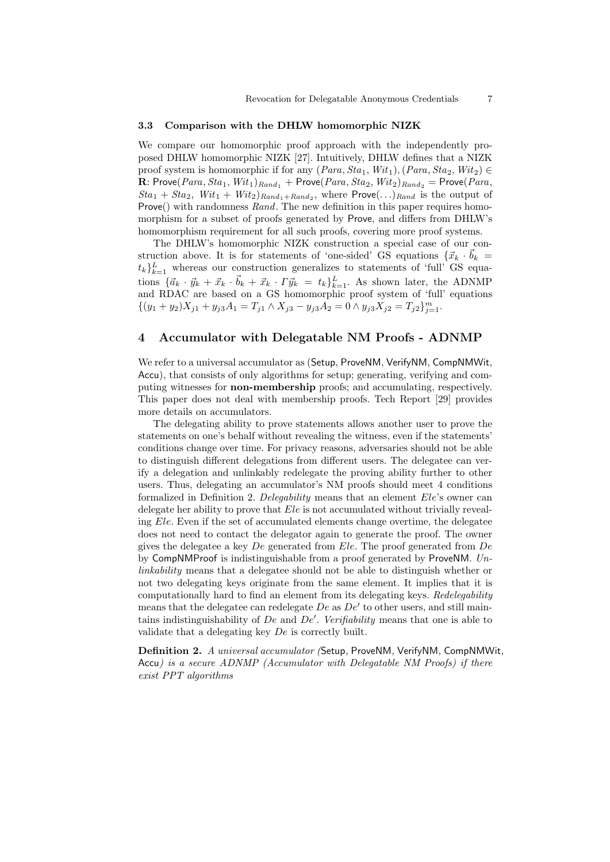#### 3.3 Comparison with the DHLW homomorphic NIZK

We compare our homomorphic proof approach with the independently proposed DHLW homomorphic NIZK [27]. Intuitively, DHLW defines that a NIZK proof system is homomorphic if for any  $(Para, Sta<sub>1</sub>, Wit<sub>1</sub>), (Para, Sta<sub>2</sub>, Wit<sub>2</sub>) \in$ **R**: Prove $(Para, Sta_1, Wit_1)_{Rand_1}$  + Prove $(Para, Sta_2, Wit_2)_{Rand_2}$  = Prove $(Para,$  $Sta_1 + Sta_2$ ,  $Wit_1 + Wit_2)_{Rand_1+Rand_2}$ , where  $Prove(...)_{Rand}$  is the output of Prove() with randomness Rand. The new definition in this paper requires homomorphism for a subset of proofs generated by Prove, and differs from DHLW's homomorphism requirement for all such proofs, covering more proof systems.

The DHLW's homomorphic NIZK construction a special case of our construction above. It is for statements of 'one-sided' GS equations  $\{\vec{x}_k \cdot \vec{b}_k =$  $t_k\}_{k=1}^L$  whereas our construction generalizes to statements of 'full' GS equations  $\{\vec{a}_k \cdot \vec{y}_k + \vec{x}_k \cdot \vec{b}_k + \vec{x}_k \cdot \vec{y}_k = t_k\}_{k=1}^L$ . As shown later, the ADNMP and RDAC are based on a GS homomorphic proof system of 'full' equations  $\{(y_1+y_2)X_{j1} + y_{j3}A_1 = T_{j1} \wedge X_{j3} - y_{j3}A_2 = 0 \wedge y_{j3}X_{j2} = T_{j2}\}_{j=1}^m.$ 

# 4 Accumulator with Delegatable NM Proofs - ADNMP

We refer to a universal accumulator as (Setup, ProveNM, VerifyNM, CompNMWit, Accu), that consists of only algorithms for setup; generating, verifying and computing witnesses for non-membership proofs; and accumulating, respectively. This paper does not deal with membership proofs. Tech Report [29] provides more details on accumulators.

The delegating ability to prove statements allows another user to prove the statements on one's behalf without revealing the witness, even if the statements' conditions change over time. For privacy reasons, adversaries should not be able to distinguish different delegations from different users. The delegatee can verify a delegation and unlinkably redelegate the proving ability further to other users. Thus, delegating an accumulator's NM proofs should meet 4 conditions formalized in Definition 2. Delegability means that an element Ele's owner can delegate her ability to prove that Ele is not accumulated without trivially revealing Ele. Even if the set of accumulated elements change overtime, the delegatee does not need to contact the delegator again to generate the proof. The owner gives the delegatee a key  $De$  generated from  $Ele$ . The proof generated from  $De$ by CompNMProof is indistinguishable from a proof generated by ProveNM.  $Un$ linkability means that a delegatee should not be able to distinguish whether or not two delegating keys originate from the same element. It implies that it is computationally hard to find an element from its delegating keys. Redelegability means that the delegatee can redelegate  $De$  as  $De'$  to other users, and still maintains indistinguishability of  $De$  and  $De'$ . Verifiability means that one is able to validate that a delegating key De is correctly built.

Definition 2. A universal accumulator (Setup, ProveNM, VerifyNM, CompNMWit, Accu) is a secure ADNMP (Accumulator with Delegatable NM Proofs) if there exist PPT algorithms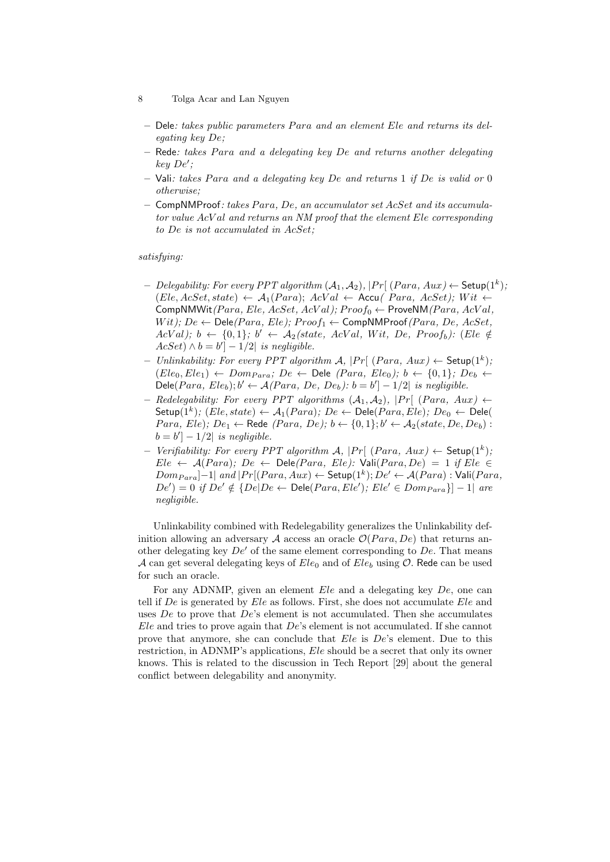- 8 Tolga Acar and Lan Nguyen
	- $-$  Dele: takes public parameters Para and an element Ele and returns its delegating key De;
	- $-$  Rede: takes Para and a delegating key De and returns another delegating  $key$   $De'$ ;
	- Vali: takes Para and a delegating key De and returns 1 if De is valid or 0 otherwise;
	- CompNMProof: takes  $Para$ ,  $De$ , an accumulator set  $AcSet$  and its accumulator value AcV al and returns an NM proof that the element Ele corresponding to De is not accumulated in AcSet;

satisfying:

- $-$  Delegability: For every PPT algorithm  $(\mathcal{A}_1, \mathcal{A}_2),$   $|Pr[$   $(Para, Aux) \leftarrow$  Setup $(1^k),$  $(Ele, AcSet, state) \leftarrow A_1(Para); AcVal \leftarrow Accu( Para, AcSet); Wit \leftarrow$ CompNMWit(Para, Ele, AcSet, AcVal);  $Proof_0 \leftarrow$  ProveNM(Para, AcVal,  $Wit$ ;  $De \leftarrow$  Dele(Para, Ele);  $Proof_1 \leftarrow$  CompNMProof(Para, De, AcSet,  $AcVal; b \leftarrow \{0,1\}; b' \leftarrow A_2(state, AcVal, Wit, De, Proof_b): (Ele \notin$  $AcSet$ )  $\wedge b = b'$ ] – 1/2| is negligible.
- Unlinkability: For every PPT algorithm A,  $|Pr|$   $(Para, Aux) \leftarrow$  Setup $(1<sup>k</sup>)$ ;  $(Ele_0, Ele_1) \leftarrow Dom_{Para}; De \leftarrow$  Dele  $(Para, Ele_0); b \leftarrow \{0, 1\}; De_b \leftarrow$ Dele(Para, Ele<sub>b</sub>);  $b' \leftarrow A(Para, De, De_b): b = b'] - 1/2$  is negligible.
- Redelegability: For every PPT algorithms  $(A_1, A_2)$ ,  $|Pr[$  (Para, Aux)  $\leftarrow$  $\mathsf{Setup}(1^k)$ ;  $(Ele, state) \leftarrow \mathcal{A}_1(Para); De \leftarrow \mathsf{Dele}(Para, Ele); De_0 \leftarrow \mathsf{Dele}($ *Para, Ele*);  $De_1 \leftarrow$  Rede (*Para, De*);  $b \leftarrow \{0, 1\}; b' \leftarrow A_2(state, De, De_b)$ :  $b = b' - 1/2$  is negligible.
- Verifiability: For every PPT algorithm A,  $|Pr[$   $(Para, Aux) \leftarrow$  Setup $(1<sup>k</sup>)$ ,  $Ele \leftarrow A(Para); De \leftarrow Dee(Para, Ele): Vali(Para, De) = 1$  if  $Ele \in$  $Dom_{Para}]-1|$  and  $|Pr[(Para, Aux) \leftarrow$  Setup $(1<sup>k</sup>); De' \leftarrow A(Para) :$  Vali $(Para,$  $De' = 0$  if  $De' \notin \{De|De \leftarrow De|(Para, Ele')$ ;  $Ele' \in Dom_{Para}\}] - 1|$  are negligible.

Unlinkability combined with Redelegability generalizes the Unlinkability definition allowing an adversary A access an oracle  $\mathcal{O}(Para, De)$  that returns another delegating key  $De'$  of the same element corresponding to  $De$ . That means A can get several delegating keys of  $Ele_0$  and of  $Ele_b$  using O. Rede can be used for such an oracle.

For any ADNMP, given an element Ele and a delegating key De, one can tell if De is generated by Ele as follows. First, she does not accumulate Ele and uses  $De$  to prove that  $De$ 's element is not accumulated. Then she accumulates  $Ele$  and tries to prove again that  $De's$  element is not accumulated. If she cannot prove that anymore, she can conclude that Ele is De's element. Due to this restriction, in ADNMP's applications, Ele should be a secret that only its owner knows. This is related to the discussion in Tech Report [29] about the general conflict between delegability and anonymity.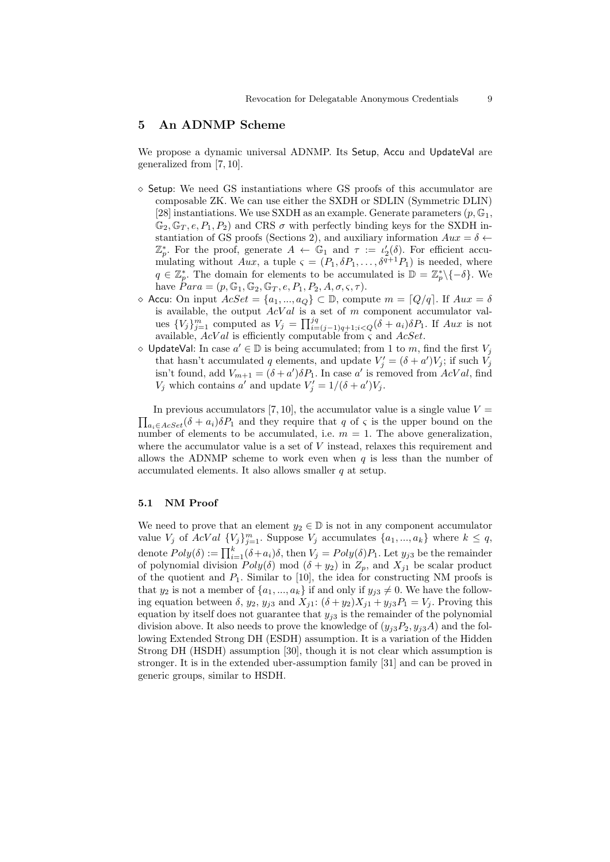# 5 An ADNMP Scheme

We propose a dynamic universal ADNMP. Its Setup, Accu and UpdateVal are generalized from [7, 10].

- $\diamond$  Setup: We need GS instantiations where GS proofs of this accumulator are composable ZK. We can use either the SXDH or SDLIN (Symmetric DLIN) [28] instantiations. We use SXDH as an example. Generate parameters  $(p, \mathbb{G}_1,$  $\mathbb{G}_2, \mathbb{G}_T, e, P_1, P_2$  and CRS  $\sigma$  with perfectly binding keys for the SXDH instantiation of GS proofs (Sections 2), and auxiliary information  $Aux = \delta \leftarrow$  $\mathbb{Z}_p^*$ . For the proof, generate  $A \leftarrow \mathbb{G}_1$  and  $\tau := \iota_2'(\delta)$ . For efficient accumulating without Aux, a tuple  $\varsigma = (P_1, \delta P_1, \ldots, \delta^{q+1} P_1)$  is needed, where  $q \in \mathbb{Z}_p^*$ . The domain for elements to be accumulated is  $\mathbb{D} = \mathbb{Z}_p^* \setminus \{-\delta\}$ . We have  $Para = (p, \mathbb{G}_1, \mathbb{G}_2, \mathbb{G}_T, e, P_1, P_2, A, \sigma, \varsigma, \tau).$
- $\Diamond$  Accu: On input  $AcSet = \{a_1, ..., a_Q\} \subset \mathbb{D}$ , compute  $m = [Q/q]$ . If  $Aux = \delta$ is available, the output  $AcVal$  is a set of m component accumulator values  $\{V_j\}_{j=1}^m$  computed as  $V_j = \prod_{i=(j-1)q+1; i < Q}^{jq} (\delta + a_i) \delta P_1$ . If Aux is not available,  $AcVal$  is efficiently computable from  $\zeta$  and  $AcSet$ .
- ◇ UpdateVal: In case  $a' \in \mathbb{D}$  is being accumulated; from 1 to m, find the first  $V_j$ that hasn't accumulated q elements, and update  $V'_{j} = (\delta + a')V_{j}$ ; if such  $V'_{j}$ isn't found, add  $V_{m+1} = (\delta + a')\delta P_1$ . In case a' is removed from  $AcVal$ , find  $V_j$  which contains a' and update  $V'_j = 1/(\delta + a')V_j$ .

 $\prod_{a_i \in A \in Set} (\delta + a_i) \delta P_1$  and they require that q of  $\varsigma$  is the upper bound on the In previous accumulators [7, 10], the accumulator value is a single value  $V =$ number of elements to be accumulated, i.e.  $m = 1$ . The above generalization, where the accumulator value is a set of  $V$  instead, relaxes this requirement and allows the ADNMP scheme to work even when  $q$  is less than the number of accumulated elements. It also allows smaller  $q$  at setup.

### 5.1 NM Proof

We need to prove that an element  $y_2 \in \mathbb{D}$  is not in any component accumulator value  $V_j$  of AcVal  $\{V_j\}_{j=1}^m$ . Suppose  $V_j$  accumulates  $\{a_1, ..., a_k\}$  where  $k \leq q$ , denote  $Poly(\delta) := \prod_{i=1}^{k} (\delta + a_i)\delta$ , then  $V_j = Poly(\delta)P_1$ . Let  $y_{j3}$  be the remainder of polynomial division  $Poly(\delta) \mod (\delta + y_2)$  in  $Z_p$ , and  $X_{j1}$  be scalar product of the quotient and  $P_1$ . Similar to [10], the idea for constructing NM proofs is that  $y_2$  is not a member of  $\{a_1, ..., a_k\}$  if and only if  $y_{j3} \neq 0$ . We have the following equation between  $\delta$ ,  $y_2$ ,  $y_{j3}$  and  $X_{j1}: (\delta + y_2)X_{j1} + y_{j3}P_1 = V_j$ . Proving this equation by itself does not guarantee that  $y_{j3}$  is the remainder of the polynomial division above. It also needs to prove the knowledge of  $(y_{j3}P_2, y_{j3}A)$  and the following Extended Strong DH (ESDH) assumption. It is a variation of the Hidden Strong DH (HSDH) assumption [30], though it is not clear which assumption is stronger. It is in the extended uber-assumption family [31] and can be proved in generic groups, similar to HSDH.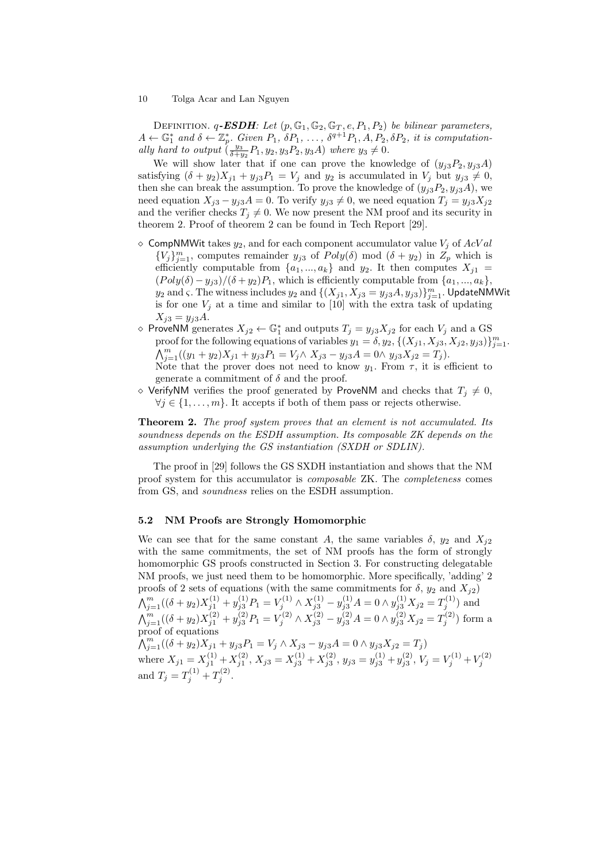DEFINITION.  $q$ -**ESDH**: Let  $(p, \mathbb{G}_1, \mathbb{G}_2, \mathbb{G}_T, e, P_1, P_2)$  be bilinear parameters,  $A \leftarrow \mathbb{G}_1^*$  and  $\delta \leftarrow \mathbb{Z}_p^*$ . Given  $P_1, \delta P_1, \ldots, \delta^{q+1} P_1, A, P_2, \delta P_2$ , it is computationally hard to output  $\left(\frac{y_3}{\delta+y_2}P_1, y_2, y_3P_2, y_3A\right)$  where  $y_3 \neq 0$ .

We will show later that if one can prove the knowledge of  $(y_{j3}P_2, y_{j3}A)$ satisfying  $(\delta + y_2)X_{j1} + y_{j3}P_1 = V_j$  and  $y_2$  is accumulated in  $V_j$  but  $y_{j3} \neq 0$ , then she can break the assumption. To prove the knowledge of  $(y_{i3}P_2, y_{i3}A)$ , we need equation  $X_{j3} - y_{j3}A = 0$ . To verify  $y_{j3} \neq 0$ , we need equation  $T_j = y_{j3}X_{j2}$ and the verifier checks  $T_j \neq 0$ . We now present the NM proof and its security in theorem 2. Proof of theorem 2 can be found in Tech Report [29].

- $\Diamond$  CompNMWit takes  $y_2$ , and for each component accumulator value  $V_i$  of  $AcVal$  ${V_j}_{j=1}^m$ , computes remainder  $y_{j3}$  of  $Poly(\delta) \mod (\delta + y_2)$  in  $Z_p$  which is efficiently computable from  $\{a_1, ..., a_k\}$  and  $y_2$ . It then computes  $X_{j1} =$  $(Poly(\delta) - y_{i3})/(\delta + y_{2})P_1$ , which is efficiently computable from  $\{a_1, ..., a_k\}$  $y_2$  and  $\varsigma$ . The witness includes  $y_2$  and  $\{(X_{j1}, X_{j3} = y_{j3}A, y_{j3})\}_{j=1}^m$ . UpdateNMWit is for one  $V_j$  at a time and similar to [10] with the extra task of updating  $X_{i3} = y_{i3}A.$
- ◇ ProveNM generates  $X_{j2} \leftarrow \mathbb{G}_1^*$  and outputs  $T_j = y_{j3}X_{j2}$  for each  $V_j$  and a GS proof for the following equations of variables  $y_1 = \delta, y_2, \{(X_{j1}, X_{j3}, X_{j2}, y_{j3})\}_{j=1}^m$ .  $\bigwedge_{j=1}^m ((y_1 + y_2)X_{j1} + y_{j3}P_1 = V_j \wedge X_{j3} - y_{j3}A = 0 \wedge y_{j3}X_{j2} = T_j).$ Note that the prover does not need to know  $y_1$ . From  $\tau$ , it is efficient to generate a commitment of  $\delta$  and the proof.
- $\Diamond$  VerifyNM verifies the proof generated by ProveNM and checks that  $T_i \neq 0$ ,  $\forall j \in \{1, \ldots, m\}$ . It accepts if both of them pass or rejects otherwise.

**Theorem 2.** The proof system proves that an element is not accumulated. Its soundness depends on the ESDH assumption. Its composable ZK depends on the assumption underlying the GS instantiation (SXDH or SDLIN).

The proof in [29] follows the GS SXDH instantiation and shows that the NM proof system for this accumulator is composable ZK. The completeness comes from GS, and soundness relies on the ESDH assumption.

## 5.2 NM Proofs are Strongly Homomorphic

We can see that for the same constant A, the same variables  $\delta$ ,  $y_2$  and  $X_{i2}$ with the same commitments, the set of NM proofs has the form of strongly homomorphic GS proofs constructed in Section 3. For constructing delegatable NM proofs, we just need them to be homomorphic. More specifically, 'adding' 2 proofs of 2 sets of equations (with the same commitments for  $\delta$ ,  $y_2$  and  $X_{i2}$ )  $\bigwedge_{j=1}^{m} ((\delta + y_2)X_{j1}^{(1)} + y_{j3}^{(1)}P_1 = V_j^{(1)} \wedge X_{j3}^{(1)} - y_{j3}^{(1)}A = 0 \wedge y_{j3}^{(1)}X_{j2} = T_j^{(1)}$  and  $\bigwedge_{j=1}^{m} ((\delta + y_2)X_{j1}^{(2)} + y_{j3}^{(2)}P_1 = V_j^{(2)} \wedge X_{j3}^{(2)} - y_{j3}^{(2)}A = 0 \wedge y_{j3}^{(2)}X_{j2} = T_j^{(2)}$  form a proof of equations  $\bigwedge_{j=1}^m ((\delta + y_2)X_{j1} + y_{j3}P_1 = V_j \wedge X_{j3} - y_{j3}A = 0 \wedge y_{j3}X_{j2} = T_j)$ where  $X_{j1} = X_{j1}^{(1)} + X_{j1}^{(2)}$ ,  $X_{j3} = X_{j3}^{(1)} + X_{j3}^{(2)}$ ,  $y_{j3} = y_{j3}^{(1)} + y_{j3}^{(2)}$ ,  $V_j = V_j^{(1)} + V_j^{(2)}$ and  $T_j = T_j^{(1)} + T_j^{(2)}$ .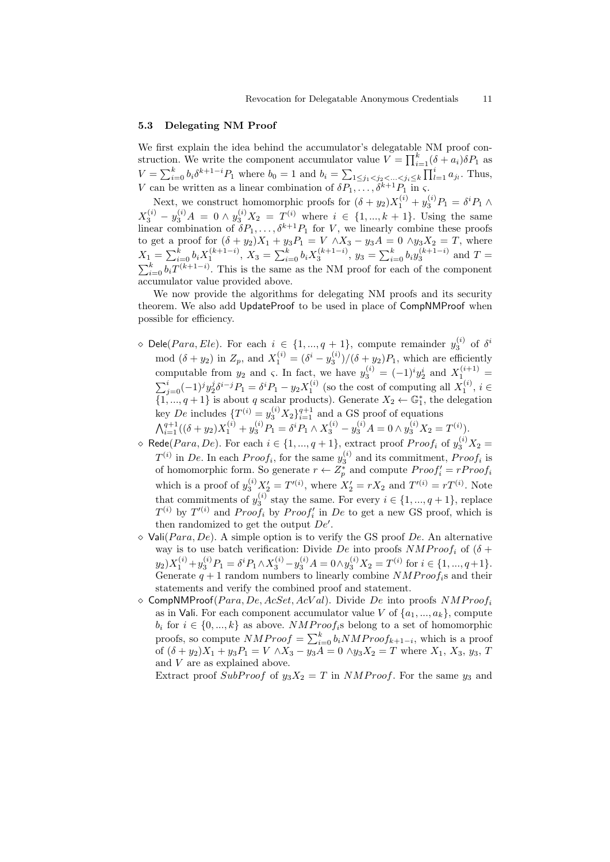## 5.3 Delegating NM Proof

We first explain the idea behind the accumulator's delegatable NM proof construction. We write the component accumulator value  $V = \prod_{i=1}^{k} (\delta + a_i) \delta P_1$  as  $V = \sum_{i=0}^{k} b_i \delta^{k+1-i} P_1$  where  $b_0 = 1$  and  $b_i = \sum_{1 \leq j_1 < j_2 < ... < j_i \leq k} \prod_{l=1}^{i} a_{j_l}$ . Thus, V can be written as a linear combination of  $\delta P_1, \ldots, \delta^{k+1} P_1$  in  $\varsigma$ .

Next, we construct homomorphic proofs for  $(\delta + y_2)X_1^{(i)} + y_3^{(i)}P_1 = \delta^i P_1 \wedge$  $X_3^{(i)} - y_3^{(i)}A = 0 \wedge y_3^{(i)}X_2 = T^{(i)}$  where  $i \in \{1, ..., k+1\}$ . Using the same linear combination of  $\delta P_1, \ldots, \delta^{k+1} P_1$  for V, we linearly combine these proofs to get a proof for  $(\delta + y_2)X_1 + y_3P_1 = V \wedge X_3 - y_3A = 0 \wedge y_3X_2 = T$ , where  $X_1 = \sum_{i=0}^k b_i X_1^{(k+1-i)}$ ,  $X_3 = \sum_{i=0}^k b_i X_3^{(k+1-i)}$ ,  $y_3 = \sum_{i=0}^k b_i y_3^{(k+1-i)}$  and  $T =$  $\sum_{i=0}^{k} b_i T^{(k+1-i)}$ . This is the same as the NM proof for each of the component accumulator value provided above.

We now provide the algorithms for delegating NM proofs and its security theorem. We also add UpdateProof to be used in place of CompNMProof when possible for efficiency.

 $\diamond$  Dele $(Para, Ele)$ . For each  $i \in \{1, ..., q+1\}$ , compute remainder  $y_{3}^{(i)}$  of  $\delta^{i}$ mod  $(\delta + y_2)$  in  $Z_p$ , and  $X_1^{(i)} = (\delta^i - y_3^{(i)})/(\delta + y_2)P_1$ , which are efficiently computable from  $y_2$  and  $\varsigma$ . In fact, we have  $y_3^{(i)} = (-1)^i y_2^i$  and  $X_{1}^{(i+1)} =$  $\sum_{j=0}^{i}(-1)^{j}y_{2}^{j}\delta^{i-j}P_{1}=\delta^{i}P_{1}-y_{2}X_{1}^{(i)}$  (so the cost of computing all  $X_{1}^{(i)}$ ,  $i \in$  $\{1, ..., q+1\}$  is about q scalar products). Generate  $X_2 \leftarrow \mathbb{G}_1^*$ , the delegation key De includes  $\{T^{(i)} = y_3^{(i)} X_2\}_{i=1}^{q+1}$  and a GS proof of equations

 $\bigwedge_{i=1}^{q+1} ((\delta + y_2) X_1^{(i)} + y_3^{(i)} P_1 = \delta^i P_1 \wedge X_3^{(i)} - y_3^{(i)} A = 0 \wedge y_3^{(i)} X_2 = T^{(i)}).$ 

- $\diamond$  Rede $(Para, De)$ . For each  $i \in \{1, ..., q + 1\}$ , extract proof  $Proof_i$  of  $y_3^{(i)}X_2 =$  $T^{(i)}$  in De. In each  $Proof_i$ , for the same  $y_3^{(i)}$  and its commitment,  $Proof_i$  is of homomorphic form. So generate  $r \leftarrow Z_p^*$  and compute  $Proof_i = rProof_i$ which is a proof of  $y_3^{(i)}X_2' = T'^{(i)}$ , where  $X_2' = rX_2$  and  $T'^{(i)} = rT^{(i)}$ . Note that commitments of  $y_3^{(i)}$  stay the same. For every  $i \in \{1, ..., q + 1\}$ , replace  $T^{(i)}$  by  $T'^{(i)}$  and  $Proof_i$  by  $Proof_i'$  in De to get a new GS proof, which is then randomized to get the output  $De'$ .
- $\Diamond$  Vali(*Para, De*). A simple option is to verify the GS proof *De*. An alternative way is to use batch verification: Divide De into proofs  $NMP root_i$  of  $(\delta +$  $y_2 X_1^{(i)} + y_3^{(i)} P_1 = \delta^i P_1 \wedge X_3^{(i)} - y_3^{(i)} A = 0 \wedge y_3^{(i)} X_2 = T^{(i)}$  for  $i \in \{1, ..., q+1\}$ . Generate  $q + 1$  random numbers to linearly combine  $NMP root_i$  and their statements and verify the combined proof and statement.
- $\Diamond$  CompNMProof(Para, De, AcSet, AcVal). Divide De into proofs  $NMProot_i$ as in Vali. For each component accumulator value V of  $\{a_1, ..., a_k\}$ , compute  $b_i$  for  $i \in \{0, ..., k\}$  as above.  $NMProot_{i}$ s belong to a set of homomorphic proofs, so compute  $NMProot = \sum_{i=0}^{k} b_i NMProot_{k+1-i}$ , which is a proof of  $(\delta + y_2)X_1 + y_3P_1 = V \wedge X_3 - y_3A = 0 \wedge y_3X_2 = T$  where  $X_1, X_3, y_3, T_1$ and V are as explained above.

Extract proof SubProof of  $y_3X_2 = T$  in NMP roof. For the same  $y_3$  and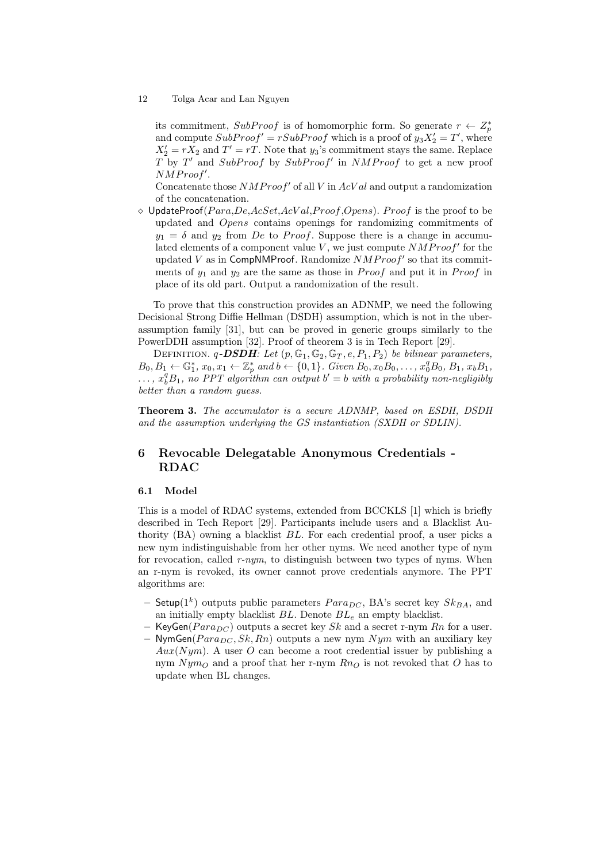its commitment, SubProof is of homomorphic form. So generate  $r \leftarrow Z_p^*$ and compute  $SubProof' = rSubProof$  which is a proof of  $y_3X_2' = T'$ , where  $X_2' = rX_2$  and  $T' = rT$ . Note that  $y_3$ 's commitment stays the same. Replace T by  $T'$  and SubProof by SubProof' in NMP roof to get a new proof  $NMP root'.$ 

Concatenate those  $NMP root'$  of all V in  $AcVal$  and output a randomization of the concatenation.

 $\Diamond$  UpdateProof( $Para, De, AcSet, AcVal, Proof, Opens$ ). Proof is the proof to be updated and Opens contains openings for randomizing commitments of  $y_1 = \delta$  and  $y_2$  from De to Proof. Suppose there is a change in accumulated elements of a component value  $V$ , we just compute  $NMProot'$  for the updated V as in CompNMProof. Randomize  $NMP root'$  so that its commitments of  $y_1$  and  $y_2$  are the same as those in *Proof* and put it in *Proof* in place of its old part. Output a randomization of the result.

To prove that this construction provides an ADNMP, we need the following Decisional Strong Diffie Hellman (DSDH) assumption, which is not in the uberassumption family [31], but can be proved in generic groups similarly to the PowerDDH assumption [32]. Proof of theorem 3 is in Tech Report [29].

DEFINITION.  $q$ -**DSDH**: Let  $(p, \mathbb{G}_1, \mathbb{G}_2, \mathbb{G}_T, e, P_1, P_2)$  be bilinear parameters,  $B_0, B_1 \leftarrow \mathbb{G}_1^*, x_0, x_1 \leftarrow \mathbb{Z}_p^*$  and  $b \leftarrow \{0, 1\}.$  Given  $B_0, x_0B_0, \ldots, x_0^qB_0, B_1, x_bB_1$ ,  $\ldots$ ,  $x_b^qB_1$ , no PPT algorithm can output  $b' = b$  with a probability non-negligibly better than a random quess.

Theorem 3. The accumulator is a secure ADNMP, based on ESDH, DSDH and the assumption underlying the GS instantiation (SXDH or SDLIN).

# 6 Revocable Delegatable Anonymous Credentials - RDAC

## 6.1 Model

This is a model of RDAC systems, extended from BCCKLS [1] which is briefly described in Tech Report [29]. Participants include users and a Blacklist Authority  $(BA)$  owning a blacklist  $BL$ . For each credential proof, a user picks a new nym indistinguishable from her other nyms. We need another type of nym for revocation, called  $r\text{-}nym$ , to distinguish between two types of nyms. When an r-nym is revoked, its owner cannot prove credentials anymore. The PPT algorithms are:

- Setup( $1^k$ ) outputs public parameters  $Para_{DC}$ , BA's secret key  $Sk_{BA}$ , and an initially empty blacklist  $BL$ . Denote  $BL<sub>e</sub>$  an empty blacklist.
- KeyGen( $Para_{DC}$ ) outputs a secret key Sk and a secret r-nym Rn for a user.
- NymGen( $Para_{DC}$ ,  $Sk$ ,  $Rn$ ) outputs a new nym  $Nym$  with an auxiliary key  $Aux(Nym)$ . A user O can become a root credential issuer by publishing a nym  $Nym_{\mathcal{O}}$  and a proof that her r-nym  $Rn_{\mathcal{O}}$  is not revoked that  $\mathcal O$  has to update when BL changes.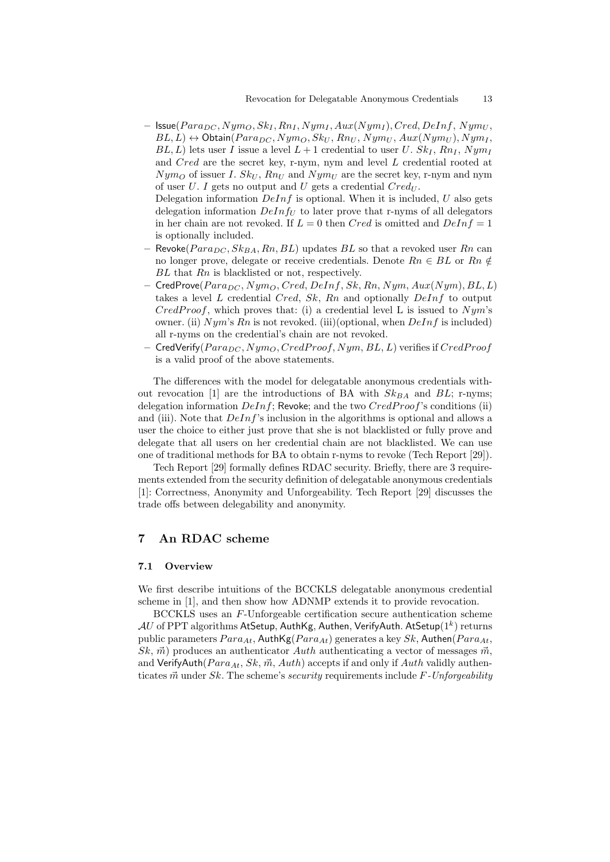$-$  Issue( $Para_{DC}$ ,  $Nym_O$ ,  $Sk_I$ ,  $Rn_I$ ,  $Nym_I$ ,  $Aux(Nym_I)$ ,  $Cred$ ,  $Delnf$ ,  $Nym_U$ ,  $BL, L) \leftrightarrow \text{Obtain}(Para_{DC}, Nym_O, Sk_U, Rn_U, Nym_U, Aux(Nym_U), Nym_I,$  $BL, L$ ) lets user I issue a level  $L + 1$  credential to user U.  $Sk_I$ ,  $Rn_I$ ,  $Nym_I$ and Cred are the secret key, r-nym, nym and level L credential rooted at  $Nym_O$  of issuer I.  $Sk_{U}$ ,  $Rn_{U}$  and  $Nym_{U}$  are the secret key, r-nym and nym of user U. I gets no output and U gets a credential  $Cred_U$ .

Delegation information  $DeInf$  is optional. When it is included, U also gets delegation information  $DeInf<sub>U</sub>$  to later prove that r-nyms of all delegators in her chain are not revoked. If  $L = 0$  then Cred is omitted and  $Delta I = 1$ is optionally included.

- Revoke( $Para_{DC}$ ,  $Sk_{BA}$ ,  $Rn$ ,  $BL$ ) updates  $BL$  so that a revoked user  $Rn$  can no longer prove, delegate or receive credentials. Denote  $Rn \in BL$  or  $Rn \notin$ BL that  $Rn$  is blacklisted or not, respectively.
- $CredProve(Para_{DC}, Nym_O, Cred, DeInf, Sk, Rn, Nym, Aux(Nym), BL, L)$ takes a level L credential Cred, Sk, Rn and optionally  $DeInf$  to output  $CredProof$ , which proves that: (i) a credential level L is issued to  $Num$ 's owner. (ii)  $Nym's Rn$  is not revoked. (iii)(optional, when  $DeInf$  is included) all r-nyms on the credential's chain are not revoked.
- CredVerify( $Para_{DC}$ ,  $Nym_O$ ,  $CredProof$ ,  $Nym$ ,  $BL$ ,  $L$ ) verifies if  $CredProof$ is a valid proof of the above statements.

The differences with the model for delegatable anonymous credentials without revocation [1] are the introductions of BA with  $Sk_{BA}$  and  $BL$ ; r-nyms; delegation information  $DeInf$ ; Revoke; and the two  $CredProof$ 's conditions (ii) and (iii). Note that  $Delta$  inclusion in the algorithms is optional and allows a user the choice to either just prove that she is not blacklisted or fully prove and delegate that all users on her credential chain are not blacklisted. We can use one of traditional methods for BA to obtain r-nyms to revoke (Tech Report [29]).

Tech Report [29] formally defines RDAC security. Briefly, there are 3 requirements extended from the security definition of delegatable anonymous credentials [1]: Correctness, Anonymity and Unforgeability. Tech Report [29] discusses the trade offs between delegability and anonymity.

# 7 An RDAC scheme

#### 7.1 Overview

We first describe intuitions of the BCCKLS delegatable anonymous credential scheme in [1], and then show how ADNMP extends it to provide revocation.

BCCKLS uses an F-Unforgeable certification secure authentication scheme  ${\cal A} U$  of PPT algorithms AtSetup, AuthKg, Authen, VerifyAuth. AtSetup $(1^k)$  returns public parameters  $Para_{At}$ , Auth $Kg(Para_{At})$  generates a key  $Sk$ , Authen( $Para_{At}$ ,  $Sk, \vec{m}$ ) produces an authenticator Auth authenticating a vector of messages  $\vec{m}$ , and VerifyAuth( $Para_{At}$ ,  $Sk$ ,  $\vec{m}$ , Auth) accepts if and only if Auth validly authenticates  $\vec{m}$  under Sk. The scheme's security requirements include F-Unforgeability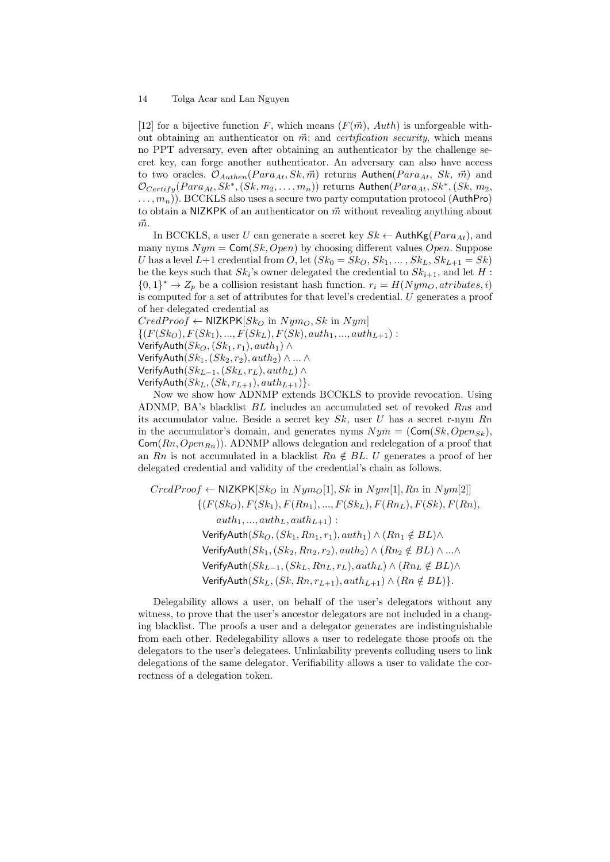[12] for a bijective function F, which means  $(F(\vec{m}), Auth)$  is unforgeable without obtaining an authenticator on  $\vec{m}$ ; and *certification security*, which means no PPT adversary, even after obtaining an authenticator by the challenge secret key, can forge another authenticator. An adversary can also have access to two oracles.  $\mathcal{O}_{Author}(Para_{At}, Sk, \vec{m})$  returns Authen $(Para_{At}, Sk, \vec{m})$  and  $\mathcal{O}_{Certify}(Para_{At}, Sk^*, (Sk, m_2, \ldots, m_n))$  returns Authen $(Para_{At}, Sk^*, (Sk, m_2, \ldots, m_n))$  $\ldots$ ,  $m_n$ )). BCCKLS also uses a secure two party computation protocol (AuthPro) to obtain a NIZKPK of an authenticator on  $\vec{m}$  without revealing anything about  $\vec{m}$ .

In BCCKLS, a user U can generate a secret key  $Sk \leftarrow \mathsf{AuthKg}(Para_{At}),$  and many nyms  $Nym = \textsf{Com}(Sk, Open)$  by choosing different values Open. Suppose U has a level L+1 credential from O, let  $(Sk_0 = Sk_O, Sk_1, \ldots, Sk_L, Sk_{L+1} = Sk)$ be the keys such that  $Sk_i$ 's owner delegated the credential to  $Sk_{i+1}$ , and let  $H$ :  $\{0,1\}^* \to Z_p$  be a collision resistant hash function.  $r_i = H(Nym_O, attributes, i)$ is computed for a set of attributes for that level's credential. U generates a proof of her delegated credential as

 $CredProof \leftarrow \mathsf{NIZKPK}[Sk_O \text{ in } Nym_O, Sk \text{ in } Nym]$  $\{ (F(Sk_O), F(Sk_1), ..., F(Sk_L), F(Sk), \text{auth}_1, ..., \text{auth}_{L+1}) :$ VerifyAuth $(Sk_O, (Sk_1, r_1), auth_1) \wedge$ VerifyAuth $(Sk_1, (Sk_2, r_2), auth_2) \wedge ... \wedge$ VerifyAuth $(Sk_{L-1}, (Sk_L, r_L), auth_L) \wedge$ VerifyAuth $(Sk_L, (Sk, r_{L+1}), auth_{L+1})\}.$ 

Now we show how ADNMP extends BCCKLS to provide revocation. Using ADNMP, BA's blacklist BL includes an accumulated set of revoked Rns and its accumulator value. Beside a secret key  $Sk$ , user  $U$  has a secret r-nym  $Rn$ in the accumulator's domain, and generates nyms  $Nym = (Com(Sk, Open_{Sk}),$  $Com(Rn, Open_{Rn})$ . ADNMP allows delegation and redelegation of a proof that an Rn is not accumulated in a blacklist  $Rn \notin BL$ . U generates a proof of her delegated credential and validity of the credential's chain as follows.

$$
CredProof \leftarrow \text{NIZKPK}[Sk_O \text{ in } Nym_O[1], Sk \text{ in } Nym[1], Rn \text{ in } Nym[2]]
$$
  
\n{
$$
{F(Sk_O), F(Sk_1), F(Rn_1), ..., F(Sk_L), F(Rn_L), F(Sk), F(Rn), \text{ with } n, ..., \text{ with } n, ..., \text{ with } n, \text{ with } n+1 \text{ with } n} \in \text{BL}, \text{ with } (Sk_O, (Sk_1, Rn_1, r_1), \text{ with } \text{all } \land (Rn_1 \notin BL) \land \text{ with } (Sk_1, (Sk_2, Rn_2, r_2), \text{ with } \text{all } \land (Rn_2 \notin BL) \land ... \land \text{ VerifyAuth}(Sk_{L-1}, (Sk_L, Rn_L, r_L), \text{ with } \text{all } \land (Rn_L \notin BL) \land \text{ VerifyAuth}(Sk_{L-1}, (Sk_R, Rn, r_{L+1}), \text{ with } L+1) \land (Rn \notin BL).
$$

Delegability allows a user, on behalf of the user's delegators without any witness, to prove that the user's ancestor delegators are not included in a changing blacklist. The proofs a user and a delegator generates are indistinguishable from each other. Redelegability allows a user to redelegate those proofs on the delegators to the user's delegatees. Unlinkability prevents colluding users to link delegations of the same delegator. Verifiability allows a user to validate the correctness of a delegation token.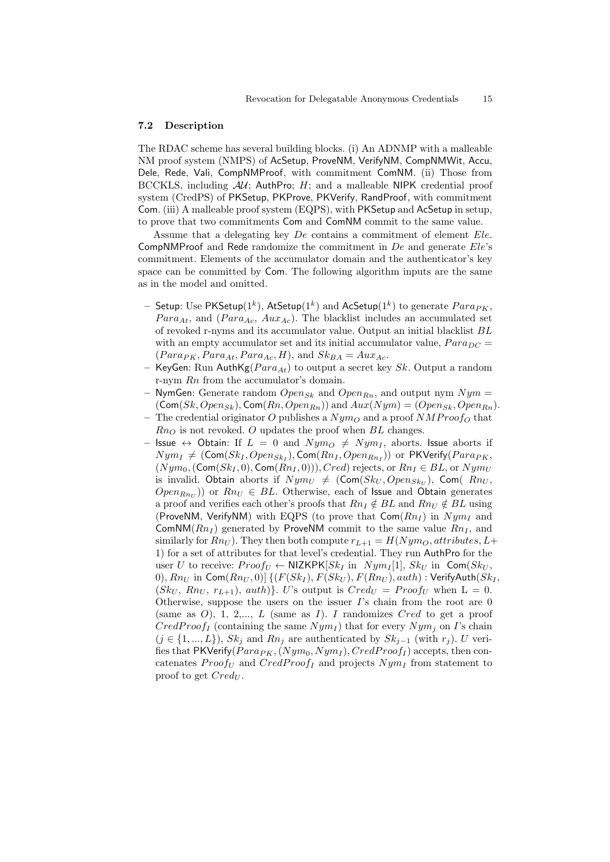#### 7.2 Description

The RDAC scheme has several building blocks. (i) An ADNMP with a malleable NM proof system (NMPS) of AcSetup, ProveNM, VerifyNM, CompNMWit, Accu, Dele, Rede, Vali, CompNMProof, with commitment ComNM. (ii) Those from BCCKLS, including  $\mathcal{A}U$ ; AuthPro; H; and a malleable NIPK credential proof system (CredPS) of PKSetup, PKProve, PKVerify, RandProof, with commitment Com. (iii) A malleable proof system (EQPS), with PKSetup and AcSetup in setup, to prove that two commitments Com and ComNM commit to the same value.

Assume that a delegating key  $De$  contains a commitment of element Ele. CompNMProof and Rede randomize the commitment in  $De$  and generate  $Ele's$ commitment. Elements of the accumulator domain and the authenticator's key space can be committed by Com. The following algorithm inputs are the same as in the model and omitted.

- $-$  Setup: Use <code>PKSetup</code>( $1^k$ ), <code>AtSetup</code>( $1^k$ ) and <code>AcSetup</code>( $1^k$ ) to generate  $Para_{PK},\,$  $Para_{At}$ , and  $(Para_{Ac}, Aux_{Ac})$ . The blacklist includes an accumulated set of revoked r-nyms and its accumulator value. Output an initial blacklist BL with an empty accumulator set and its initial accumulator value,  $Para_{DC}$  =  $(Para_{PK}, Para_{At}, Para_{Ac}, H)$ , and  $Sk_{BA} = Aux_{Ac}$ .
- KeyGen: Run Auth $Kg(Para_{At})$  to output a secret key Sk. Output a random r-nym Rn from the accumulator's domain.
- NymGen: Generate random  $Open_{Sk}$  and  $Open_{Rn}$ , and output nym  $Num =$  $(Com(Sk, Open_{Sk})$ , Com $(Rn, Open_{Rn})$  and  $Aux(Nym) = (Open_{Sk}, Open_{Rn})$ .
- The credential originator O publishes a  $Nym<sub>O</sub>$  and a proof  $NMP <sub>top</sub>$  that  $Rn<sub>O</sub>$  is not revoked. O updates the proof when BL changes.
- Issue  $\leftrightarrow$  Obtain: If  $L = 0$  and  $Nym_Q \neq Nym_I$ , aborts. Issue aborts if  $Nym_I \neq ( {\sf Com}(Sk_I, Open_{Sk_I}), {\sf Com}(Rn_I, Open_{Rn_I}))$  or  ${\sf PKVerify}(Para_{PK},$  $(Nym_0, (Com(Sk_I, 0), Com(Rn_I, 0))), Cred$  rejects, or  $Rn_I \in BL$ , or  $Nym_U$ is invalid. Obtain aborts if  $Nym_U \neq (\mathsf{Com}(Sk_U, Open_{Sk_U}),$  Com(  $Rn_U,$  $Open_{Rn_U})$  or  $Rn_U \in BL$ . Otherwise, each of Issue and Obtain generates a proof and verifies each other's proofs that  $Rn_I \notin BL$  and  $Rn_U \notin BL$  using (ProveNM, VerifyNM) with EQPS (to prove that  $Com(Rn_I)$  in  $Nym_I$  and ComNM( $Rn_I$ ) generated by ProveNM commit to the same value  $Rn_I$ , and similarly for  $Rn_U$ ). They then both compute  $r_{L+1} = H(Nym_O, attributes, L+$ 1) for a set of attributes for that level's credential. They run AuthPro for the user U to receive:  $Proof_{U} \leftarrow \mathsf{NIZKPK}[Sk_I \text{ in } Nym_I[1], Sk_U \text{ in } \mathsf{Com}(Sk_U,$ 0),  $Rn_U$  in  $\textsf{Com}(Rn_U, 0)$ ]  $\{(F(Sk_I), F(Sk_U), F(Rn_U), author)$ : VerifyAuth $(Sk_I,$  $(Sk_U, Rn_U, r_{L+1}),$  auth)}. U's output is  $Cred_U = Proof_U$  when  $L = 0$ . Otherwise, suppose the users on the issuer  $I$ 's chain from the root are 0 (same as  $O$ ), 1, 2,..., L (same as I). I randomizes Cred to get a proof  $CredProof_I$  (containing the same  $Nym_I$ ) that for every  $Nym_i$  on I's chain  $(j \in \{1, ..., L\}), Sk_j$  and  $Rn_j$  are authenticated by  $Sk_{j-1}$  (with  $r_j$ ). U verifies that PKVerify( $Para_{PK}$ ,  $(Nym_0, Nym_I)$ ,  $CredProof_I$ ) accepts, then concatenates  $Proof_U$  and  $CredProof_I$  and projects  $Nym_I$  from statement to proof to get  $Cred_U$ .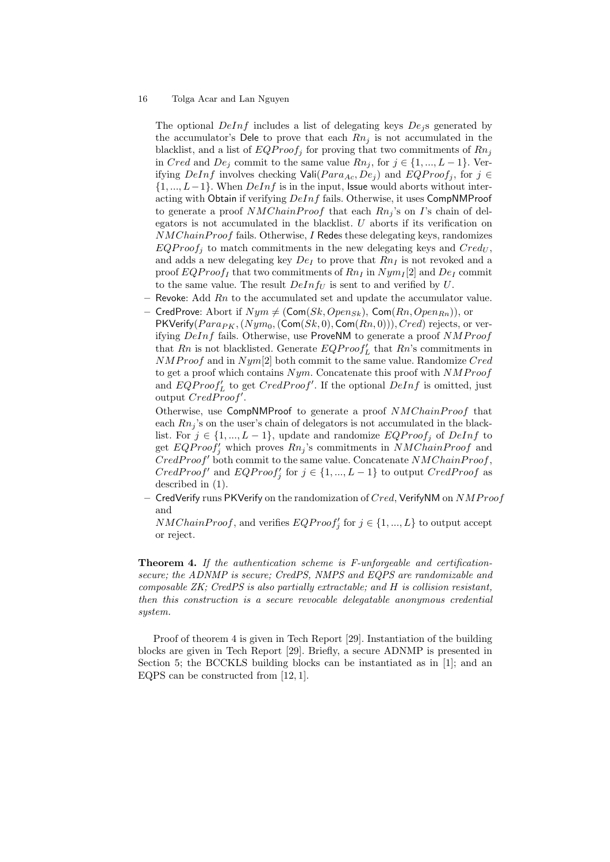The optional  $DeInf$  includes a list of delegating keys  $De_j$ s generated by the accumulator's Dele to prove that each  $Rn_j$  is not accumulated in the blacklist, and a list of  $EQProof_j$  for proving that two commitments of  $Rn_j$ in Cred and  $De_j$  commit to the same value  $Rn_j$ , for  $j \in \{1, ..., L-1\}$ . Verifying  $Delnf$  involves checking  $Vali(Para_{Ac}, De_i)$  and  $EQProof_i$ , for  $j \in$  $\{1, ..., L-1\}$ . When  $Delnf$  is in the input, Issue would aborts without interacting with Obtain if verifying DeInf fails. Otherwise, it uses CompNMProof to generate a proof  $NMChainProof$  that each  $Rn_j$ 's on I's chain of delegators is not accumulated in the blacklist. U aborts if its verification on  $NMChainProof$  fails. Otherwise, I Redes these delegating keys, randomizes  $EQProof<sub>i</sub>$  to match commitments in the new delegating keys and  $Cred<sub>U</sub>$ , and adds a new delegating key  $De<sub>I</sub>$  to prove that  $Rn<sub>I</sub>$  is not revoked and a proof  $EQProof_I$  that two commitments of  $Rn_I$  in  $Nym_I[2]$  and  $De_I$  commit to the same value. The result  $DeInf_{U}$  is sent to and verified by U.

- Revoke: Add  $Rn$  to the accumulated set and update the accumulator value.
- CredProve: Abort if  $Nym \neq (Com(Sk, Open_{Sk}), Com(Rn, Open_{Rn}))$ , or  $PKVerify(Para_{PK},(Nym_0,(\text{Com}(Sk, 0), \text{Com}(Rn, 0))), Cred)$  rejects, or verifying  $DeInf$  fails. Otherwise, use ProveNM to generate a proof  $NMP$  roof that Rn is not blacklisted. Generate  $EQProof'_{L}$  that Rn's commitments in  $NMP root$  and in  $Nym[2]$  both commit to the same value. Randomize  $Cred$ to get a proof which contains  $Nym$ . Concatenate this proof with  $NMP root$ and  $EQProof'_{L}$  to get  $CredProof'$ . If the optional  $Delnf$  is omitted, just output CredProof'.

Otherwise, use CompNMP roof to generate a proof  $NMChainProof$  that each  $Rn_i$ 's on the user's chain of delegators is not accumulated in the blacklist. For  $j \in \{1, ..., L-1\}$ , update and randomize  $EQProof_j$  of  $Delnf$  to get  $EQProof'_{j}$  which proves  $Rn_{j}$ 's commitments in  $NMChainProof$  and  $CredProof'$  both commit to the same value. Concatenate  $NMChainProof$ ,  $CredProof'$  and  $EQProof'_{j}$  for  $j \in \{1, ..., L-1\}$  to output  $CredProof$  as described in (1).

CredVerify runs PKVerify on the randomization of Cred, VerifyNM on  $NMP root$ and

 $NMChainProof$ , and verifies  $EQProof_j$  for  $j \in \{1, ..., L\}$  to output accept or reject.

Theorem 4. If the authentication scheme is F-unforgeable and certificationsecure; the ADNMP is secure; CredPS, NMPS and EQPS are randomizable and composable ZK; CredPS is also partially extractable; and H is collision resistant, then this construction is a secure revocable delegatable anonymous credential system.

Proof of theorem 4 is given in Tech Report [29]. Instantiation of the building blocks are given in Tech Report [29]. Briefly, a secure ADNMP is presented in Section 5; the BCCKLS building blocks can be instantiated as in [1]; and an EQPS can be constructed from [12, 1].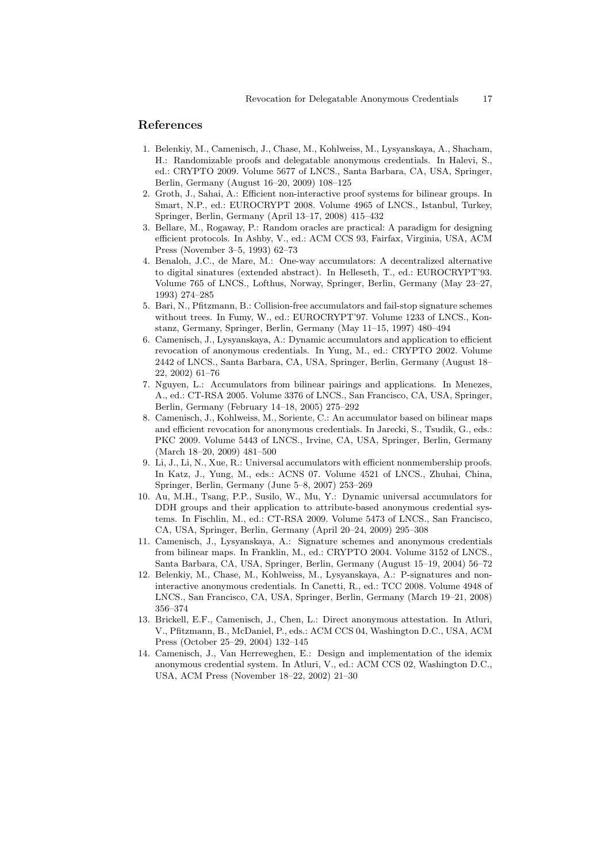# References

- 1. Belenkiy, M., Camenisch, J., Chase, M., Kohlweiss, M., Lysyanskaya, A., Shacham, H.: Randomizable proofs and delegatable anonymous credentials. In Halevi, S., ed.: CRYPTO 2009. Volume 5677 of LNCS., Santa Barbara, CA, USA, Springer, Berlin, Germany (August 16–20, 2009) 108–125
- 2. Groth, J., Sahai, A.: Efficient non-interactive proof systems for bilinear groups. In Smart, N.P., ed.: EUROCRYPT 2008. Volume 4965 of LNCS., Istanbul, Turkey, Springer, Berlin, Germany (April 13–17, 2008) 415–432
- 3. Bellare, M., Rogaway, P.: Random oracles are practical: A paradigm for designing efficient protocols. In Ashby, V., ed.: ACM CCS 93, Fairfax, Virginia, USA, ACM Press (November 3–5, 1993) 62–73
- 4. Benaloh, J.C., de Mare, M.: One-way accumulators: A decentralized alternative to digital sinatures (extended abstract). In Helleseth, T., ed.: EUROCRYPT'93. Volume 765 of LNCS., Lofthus, Norway, Springer, Berlin, Germany (May 23–27, 1993) 274–285
- 5. Bari, N., Pfitzmann, B.: Collision-free accumulators and fail-stop signature schemes without trees. In Fumy, W., ed.: EUROCRYPT'97. Volume 1233 of LNCS., Konstanz, Germany, Springer, Berlin, Germany (May 11–15, 1997) 480–494
- 6. Camenisch, J., Lysyanskaya, A.: Dynamic accumulators and application to efficient revocation of anonymous credentials. In Yung, M., ed.: CRYPTO 2002. Volume 2442 of LNCS., Santa Barbara, CA, USA, Springer, Berlin, Germany (August 18– 22, 2002) 61–76
- 7. Nguyen, L.: Accumulators from bilinear pairings and applications. In Menezes, A., ed.: CT-RSA 2005. Volume 3376 of LNCS., San Francisco, CA, USA, Springer, Berlin, Germany (February 14–18, 2005) 275–292
- 8. Camenisch, J., Kohlweiss, M., Soriente, C.: An accumulator based on bilinear maps and efficient revocation for anonymous credentials. In Jarecki, S., Tsudik, G., eds.: PKC 2009. Volume 5443 of LNCS., Irvine, CA, USA, Springer, Berlin, Germany (March 18–20, 2009) 481–500
- 9. Li, J., Li, N., Xue, R.: Universal accumulators with efficient nonmembership proofs. In Katz, J., Yung, M., eds.: ACNS 07. Volume 4521 of LNCS., Zhuhai, China, Springer, Berlin, Germany (June 5–8, 2007) 253–269
- 10. Au, M.H., Tsang, P.P., Susilo, W., Mu, Y.: Dynamic universal accumulators for DDH groups and their application to attribute-based anonymous credential systems. In Fischlin, M., ed.: CT-RSA 2009. Volume 5473 of LNCS., San Francisco, CA, USA, Springer, Berlin, Germany (April 20–24, 2009) 295–308
- 11. Camenisch, J., Lysyanskaya, A.: Signature schemes and anonymous credentials from bilinear maps. In Franklin, M., ed.: CRYPTO 2004. Volume 3152 of LNCS., Santa Barbara, CA, USA, Springer, Berlin, Germany (August 15–19, 2004) 56–72
- 12. Belenkiy, M., Chase, M., Kohlweiss, M., Lysyanskaya, A.: P-signatures and noninteractive anonymous credentials. In Canetti, R., ed.: TCC 2008. Volume 4948 of LNCS., San Francisco, CA, USA, Springer, Berlin, Germany (March 19–21, 2008) 356–374
- 13. Brickell, E.F., Camenisch, J., Chen, L.: Direct anonymous attestation. In Atluri, V., Pfitzmann, B., McDaniel, P., eds.: ACM CCS 04, Washington D.C., USA, ACM Press (October 25–29, 2004) 132–145
- 14. Camenisch, J., Van Herreweghen, E.: Design and implementation of the idemix anonymous credential system. In Atluri, V., ed.: ACM CCS 02, Washington D.C., USA, ACM Press (November 18–22, 2002) 21–30